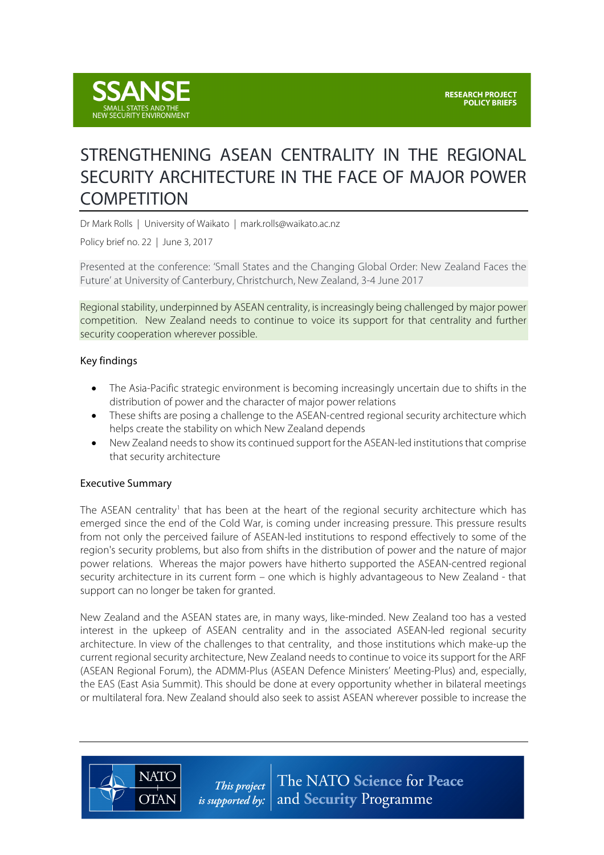

# STRENGTHENING ASEAN CENTRALITY IN THE REGIONAL SECURITY ARCHITECTURE IN THE FACE OF MAJOR POWER **COMPETITION**

Dr Mark Rolls | University of Waikato | mark.rolls@waikato.ac.nz

Policy brief no. 22 | June 3, 2017

Presented at the conference: 'Small States and the Changing Global Order: New Zealand Faces the Future' at University of Canterbury, Christchurch, New Zealand, 3-4 June 2017

Regional stability, underpinned by ASEAN centrality, is increasingly being challenged by major power competition. New Zealand needs to continue to voice its support for that centrality and further security cooperation wherever possible.

#### Key findings

- The Asia-Pacific strategic environment is becoming increasingly uncertain due to shifts in the distribution of power and the character of major power relations
- These shifts are posing a challenge to the ASEAN-centred regional security architecture which helps create the stability on which New Zealand depends
- New Zealand needs to show its continued support for the ASEAN-led institutions that comprise that security architecture

#### Executive Summary

**NATO** 

**OTAN** 

The ASEAN centrality<sup>1</sup> that has been at the heart of the regional security architecture which has emerged since the end of the Cold War, is coming under increasing pressure. This pressure results from not only the perceived failure of ASEAN-led institutions to respond effectively to some of the region's security problems, but also from shifts in the distribution of power and the nature of major power relations. Whereas the major powers have hitherto supported the ASEAN-centred regional security architecture in its current form – one which is highly advantageous to New Zealand - that support can no longer be taken for granted.

New Zealand and the ASEAN states are, in many ways, like-minded. New Zealand too has a vested interest in the upkeep of ASEAN centrality and in the associated ASEAN-led regional security architecture. In view of the challenges to that centrality, and those institutions which make-up the current regional security architecture, New Zealand needs to continue to voice its support for the ARF (ASEAN Regional Forum), the ADMM-Plus (ASEAN Defence Ministers' Meeting-Plus) and, especially, the EAS (East Asia Summit). This should be done at every opportunity whether in bilateral meetings or multilateral fora. New Zealand should also seek to assist ASEAN wherever possible to increase the

> The NATO Science for Peace This project *is supported by:*  $|$  and Security Programme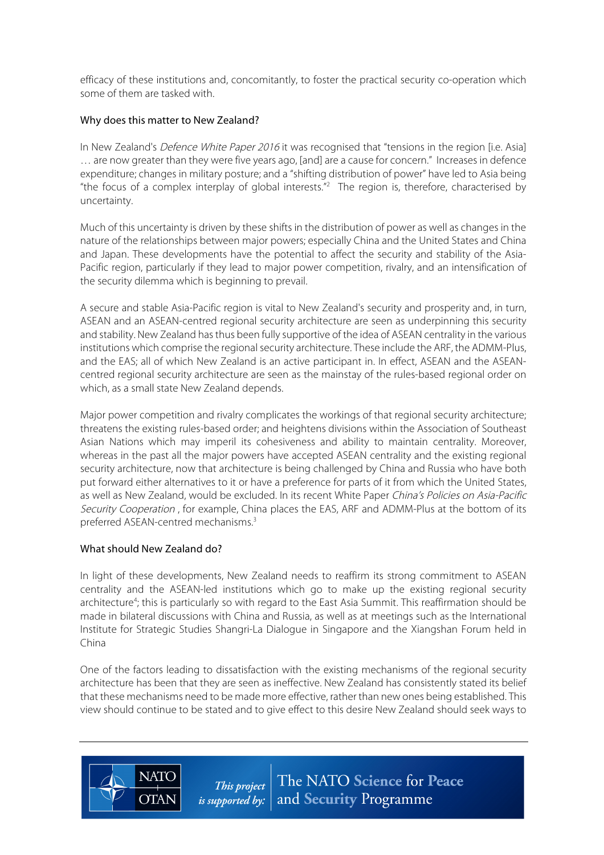efficacy of these institutions and, concomitantly, to foster the practical security co-operation which some of them are tasked with.

### Why does this matter to New Zealand?

In New Zealand's *Defence White Paper 2016* it was recognised that "tensions in the region [i.e. Asia] … are now greater than they were five years ago, [and] are a cause for concern." Increases in defence expenditure; changes in military posture; and a "shifting distribution of power" have led to Asia being "the focus of a complex interplay of global interests."<sup>2</sup> The region is, therefore, characterised by uncertainty.

Much of this uncertainty is driven by these shifts in the distribution of power as well as changes in the nature of the relationships between major powers; especially China and the United States and China and Japan. These developments have the potential to affect the security and stability of the Asia-Pacific region, particularly if they lead to major power competition, rivalry, and an intensification of the security dilemma which is beginning to prevail.

A secure and stable Asia-Pacific region is vital to New Zealand's security and prosperity and, in turn, ASEAN and an ASEAN-centred regional security architecture are seen as underpinning this security and stability. New Zealand has thus been fully supportive of the idea of ASEAN centrality in the various institutions which comprise the regional security architecture. These include the ARF, the ADMM-Plus, and the EAS; all of which New Zealand is an active participant in. In effect, ASEAN and the ASEANcentred regional security architecture are seen as the mainstay of the rules-based regional order on which, as a small state New Zealand depends.

Major power competition and rivalry complicates the workings of that regional security architecture; threatens the existing rules-based order; and heightens divisions within the Association of Southeast Asian Nations which may imperil its cohesiveness and ability to maintain centrality. Moreover, whereas in the past all the major powers have accepted ASEAN centrality and the existing regional security architecture, now that architecture is being challenged by China and Russia who have both put forward either alternatives to it or have a preference for parts of it from which the United States, as well as New Zealand, would be excluded. In its recent White Paper China's Policies on Asia-Pacific Security Cooperation, for example, China places the EAS, ARF and ADMM-Plus at the bottom of its preferred ASEAN-centred mechanisms.3

# What should New Zealand do?

**NATC** 

**OTAN** 

In light of these developments, New Zealand needs to reaffirm its strong commitment to ASEAN centrality and the ASEAN-led institutions which go to make up the existing regional security architecture<sup>4</sup>; this is particularly so with regard to the East Asia Summit. This reaffirmation should be made in bilateral discussions with China and Russia, as well as at meetings such as the International Institute for Strategic Studies Shangri-La Dialogue in Singapore and the Xiangshan Forum held in China

One of the factors leading to dissatisfaction with the existing mechanisms of the regional security architecture has been that they are seen as ineffective. New Zealand has consistently stated its belief that these mechanisms need to be made more effective, rather than new ones being established. This view should continue to be stated and to give effect to this desire New Zealand should seek ways to

> The NATO Science for Peace This project *is supported by:*  $|$  and **Security** Programme